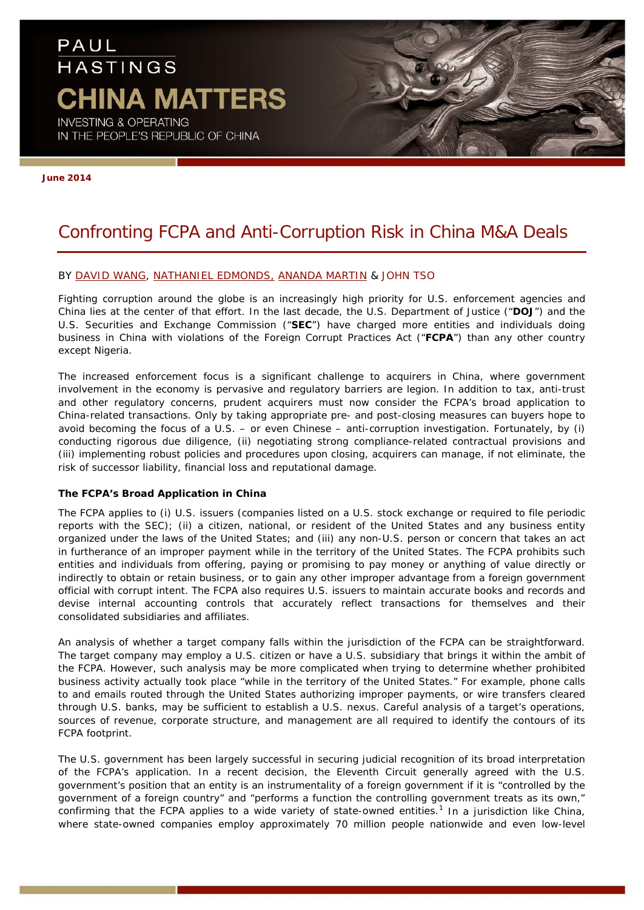# PAUL **HASTINGS CHINA MATTERS INVESTING & OPERATING**

IN THE PEOPLE'S REPUBLIC OF CHINA

**June 2014**

## Confronting FCPA and Anti-Corruption Risk in China M&A Deals

#### BY [DAVID WANG,](http://www.paulhastings.com/Professionals/details/davidwang/) [NATHANIEL EDMONDS,](http://www.paulhastings.com/Professionals/details/nathanieledmonds/) [ANANDA MARTIN](http://www.paulhastings.com/Professionals/details/anandamartin/) & JOHN TSO

Fighting corruption around the globe is an increasingly high priority for U.S. enforcement agencies and China lies at the center of that effort. In the last decade, the U.S. Department of Justice ("**DOJ**") and the U.S. Securities and Exchange Commission ("**SEC**") have charged more entities and individuals doing business in China with violations of the Foreign Corrupt Practices Act ("**FCPA**") than any other country except Nigeria.

The increased enforcement focus is a significant challenge to acquirers in China, where government involvement in the economy is pervasive and regulatory barriers are legion. In addition to tax, anti-trust and other regulatory concerns, prudent acquirers must now consider the FCPA's broad application to China-related transactions. Only by taking appropriate pre- and post-closing measures can buyers hope to avoid becoming the focus of a U.S. – or even Chinese – anti-corruption investigation. Fortunately, by (i) conducting rigorous due diligence, (ii) negotiating strong compliance-related contractual provisions and (iii) implementing robust policies and procedures upon closing, acquirers can manage, if not eliminate, the risk of successor liability, financial loss and reputational damage.

#### **The FCPA's Broad Application in China**

The FCPA applies to (i) U.S. issuers (companies listed on a U.S. stock exchange or required to file periodic reports with the SEC); (ii) a citizen, national, or resident of the United States and any business entity organized under the laws of the United States; and (iii) any non-U.S. person or concern that takes an act in furtherance of an improper payment while in the territory of the United States. The FCPA prohibits such entities and individuals from offering, paying or promising to pay money or anything of value directly or indirectly to obtain or retain business, or to gain any other improper advantage from a foreign government official with corrupt intent. The FCPA also requires U.S. issuers to maintain accurate books and records and devise internal accounting controls that accurately reflect transactions for themselves and their consolidated subsidiaries and affiliates.

An analysis of whether a target company falls within the jurisdiction of the FCPA can be straightforward. The target company may employ a U.S. citizen or have a U.S. subsidiary that brings it within the ambit of the FCPA. However, such analysis may be more complicated when trying to determine whether prohibited business activity actually took place "while in the territory of the United States." For example, phone calls to and emails routed through the United States authorizing improper payments, or wire transfers cleared through U.S. banks, may be sufficient to establish a U.S. nexus. Careful analysis of a target's operations, sources of revenue, corporate structure, and management are all required to identify the contours of its FCPA footprint.

The U.S. government has been largely successful in securing judicial recognition of its broad interpretation of the FCPA's application. In a recent decision, the Eleventh Circuit generally agreed with the U.S. government's position that an entity is an instrumentality of a foreign government if it is "controlled by the government of a foreign country" and "performs a function the controlling government treats as its own," confirming that the FCPA applies to a wide variety of state-owned entities.<sup>[1](#page-3-0)</sup> In a jurisdiction like China, where state-owned companies employ approximately 70 million people nationwide and even low-level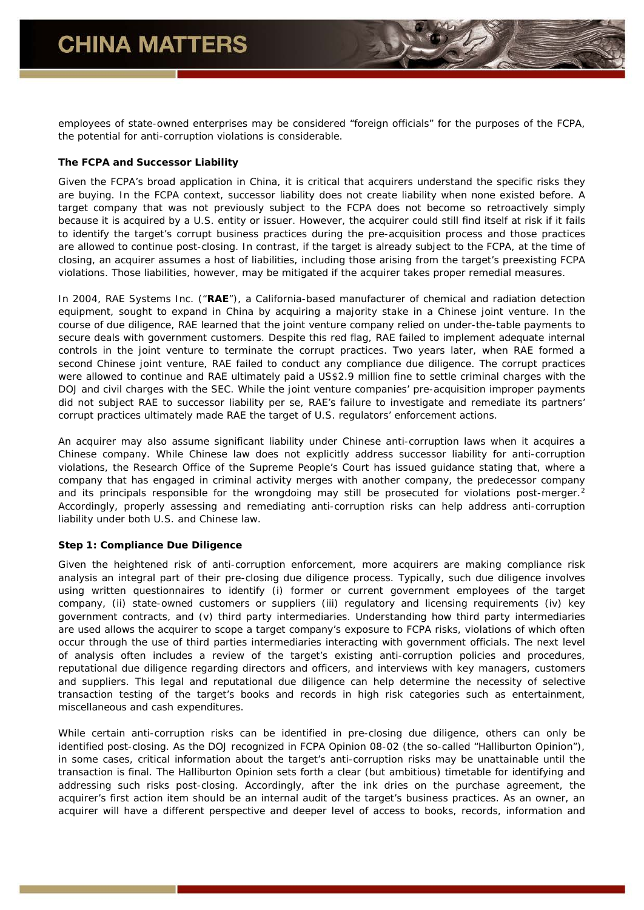employees of state-owned enterprises may be considered "foreign officials" for the purposes of the FCPA, the potential for anti-corruption violations is considerable.

#### **The FCPA and Successor Liability**

Given the FCPA's broad application in China, it is critical that acquirers understand the specific risks they are buying. In the FCPA context, successor liability does not create liability when none existed before. A target company that was not previously subject to the FCPA does not become so retroactively simply because it is acquired by a U.S. entity or issuer. However, the acquirer could still find itself at risk if it fails to identify the target's corrupt business practices during the pre-acquisition process and those practices are allowed to continue post-closing. In contrast, if the target is already subject to the FCPA, at the time of closing, an acquirer assumes a host of liabilities, including those arising from the target's preexisting FCPA violations. Those liabilities, however, may be mitigated if the acquirer takes proper remedial measures.

In 2004, RAE Systems Inc. ("**RAE**"), a California-based manufacturer of chemical and radiation detection equipment, sought to expand in China by acquiring a majority stake in a Chinese joint venture. In the course of due diligence, RAE learned that the joint venture company relied on under-the-table payments to secure deals with government customers. Despite this red flag, RAE failed to implement adequate internal controls in the joint venture to terminate the corrupt practices. Two years later, when RAE formed a second Chinese joint venture, RAE failed to conduct any compliance due diligence. The corrupt practices were allowed to continue and RAE ultimately paid a US\$2.9 million fine to settle criminal charges with the DOJ and civil charges with the SEC. While the joint venture companies' pre-acquisition improper payments did not subject RAE to successor liability *per se*, RAE's failure to investigate and remediate its partners' corrupt practices ultimately made RAE the target of U.S. regulators' enforcement actions.

An acquirer may also assume significant liability under Chinese anti-corruption laws when it acquires a Chinese company. While Chinese law does not explicitly address successor liability for anti-corruption violations, the Research Office of the Supreme People's Court has issued guidance stating that, where a company that has engaged in criminal activity merges with another company, the predecessor company and its principals responsible for the wrongdoing may still be prosecuted for violations post-merger.<sup>[2](#page-3-1)</sup> Accordingly, properly assessing and remediating anti-corruption risks can help address anti-corruption liability under both U.S. and Chinese law.

### *Step 1: Compliance Due Diligence*

Given the heightened risk of anti-corruption enforcement, more acquirers are making compliance risk analysis an integral part of their pre-closing due diligence process. Typically, such due diligence involves using written questionnaires to identify (i) former or current government employees of the target company, (ii) state-owned customers or suppliers (iii) regulatory and licensing requirements (iv) key government contracts, and (v) third party intermediaries. Understanding how third party intermediaries are used allows the acquirer to scope a target company's exposure to FCPA risks, violations of which often occur through the use of third parties intermediaries interacting with government officials. The next level of analysis often includes a review of the target's existing anti-corruption policies and procedures, reputational due diligence regarding directors and officers, and interviews with key managers, customers and suppliers. This legal and reputational due diligence can help determine the necessity of selective transaction testing of the target's books and records in high risk categories such as entertainment, miscellaneous and cash expenditures.

While certain anti-corruption risks can be identified in pre-closing due diligence, others can only be identified post-closing. As the DOJ recognized in FCPA Opinion 08-02 (the so-called "Halliburton Opinion"), in some cases, critical information about the target's anti-corruption risks may be unattainable until the transaction is final. The Halliburton Opinion sets forth a clear (but ambitious) timetable for identifying and addressing such risks post-closing. Accordingly, after the ink dries on the purchase agreement, the acquirer's first action item should be an internal audit of the target's business practices. As an owner, an acquirer will have a different perspective and deeper level of access to books, records, information and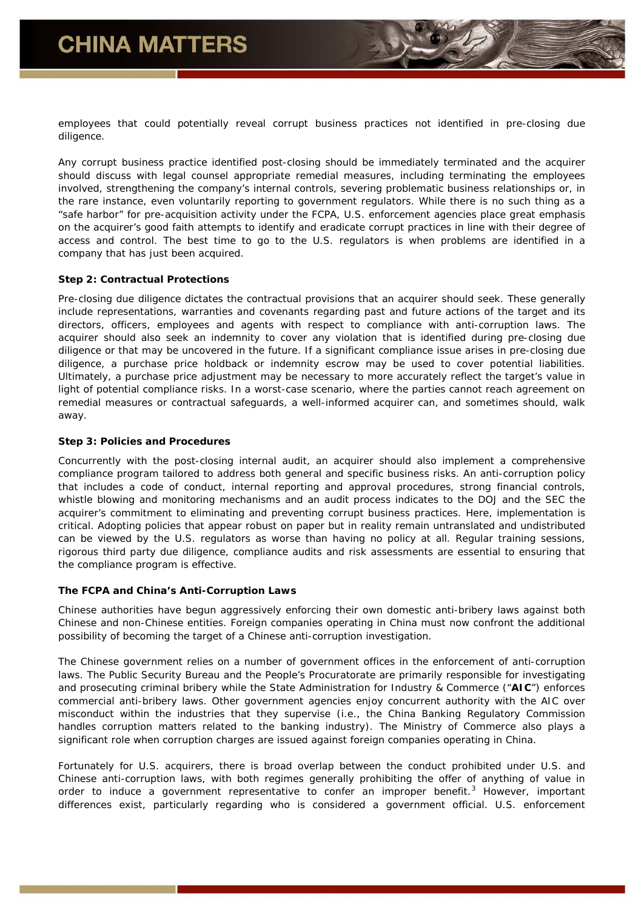employees that could potentially reveal corrupt business practices not identified in pre-closing due diligence.

Any corrupt business practice identified post-closing should be immediately terminated and the acquirer should discuss with legal counsel appropriate remedial measures, including terminating the employees involved, strengthening the company's internal controls, severing problematic business relationships or, in the rare instance, even voluntarily reporting to government regulators. While there is no such thing as a "safe harbor" for pre-acquisition activity under the FCPA, U.S. enforcement agencies place great emphasis on the acquirer's good faith attempts to identify and eradicate corrupt practices in line with their degree of access and control. The best time to go to the U.S. regulators is when problems are identified in a company that has just been acquired.

#### *Step 2: Contractual Protections*

Pre-closing due diligence dictates the contractual provisions that an acquirer should seek. These generally include representations, warranties and covenants regarding past and future actions of the target and its directors, officers, employees and agents with respect to compliance with anti-corruption laws. The acquirer should also seek an indemnity to cover any violation that is identified during pre-closing due diligence or that may be uncovered in the future. If a significant compliance issue arises in pre-closing due diligence, a purchase price holdback or indemnity escrow may be used to cover potential liabilities. Ultimately, a purchase price adjustment may be necessary to more accurately reflect the target's value in light of potential compliance risks. In a worst-case scenario, where the parties cannot reach agreement on remedial measures or contractual safeguards, a well-informed acquirer can, and sometimes should, walk away.

#### *Step 3: Policies and Procedures*

Concurrently with the post-closing internal audit, an acquirer should also implement a comprehensive compliance program tailored to address both general and specific business risks. An anti-corruption policy that includes a code of conduct, internal reporting and approval procedures, strong financial controls, whistle blowing and monitoring mechanisms and an audit process indicates to the DOJ and the SEC the acquirer's commitment to eliminating and preventing corrupt business practices. Here, implementation is critical. Adopting policies that appear robust on paper but in reality remain untranslated and undistributed can be viewed by the U.S. regulators as worse than having no policy at all. Regular training sessions, rigorous third party due diligence, compliance audits and risk assessments are essential to ensuring that the compliance program is effective.

#### **The FCPA and China's Anti-Corruption Laws**

Chinese authorities have begun aggressively enforcing their own domestic anti-bribery laws against both Chinese and non-Chinese entities. Foreign companies operating in China must now confront the additional possibility of becoming the target of a Chinese anti-corruption investigation.

The Chinese government relies on a number of government offices in the enforcement of anti-corruption laws. The Public Security Bureau and the People's Procuratorate are primarily responsible for investigating and prosecuting criminal bribery while the State Administration for Industry & Commerce ("**AIC**") enforces commercial anti-bribery laws. Other government agencies enjoy concurrent authority with the AIC over misconduct within the industries that they supervise (i.e., the China Banking Regulatory Commission handles corruption matters related to the banking industry). The Ministry of Commerce also plays a significant role when corruption charges are issued against foreign companies operating in China.

Fortunately for U.S. acquirers, there is broad overlap between the conduct prohibited under U.S. and Chinese anti-corruption laws, with both regimes generally prohibiting the offer of anything of value in order to induce a government representative to confer an improper benefit.<sup>[3](#page-3-2)</sup> However, important differences exist, particularly regarding who is considered a government official. U.S. enforcement